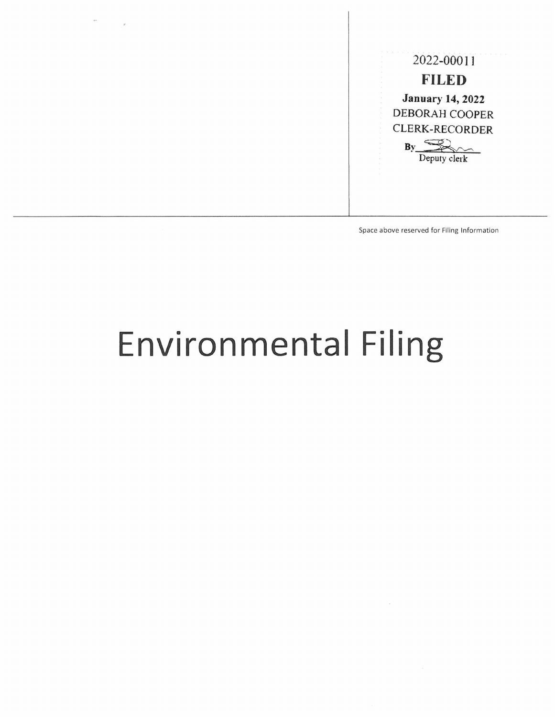

Space above reserved for Filing Information

## **Environmental Filing**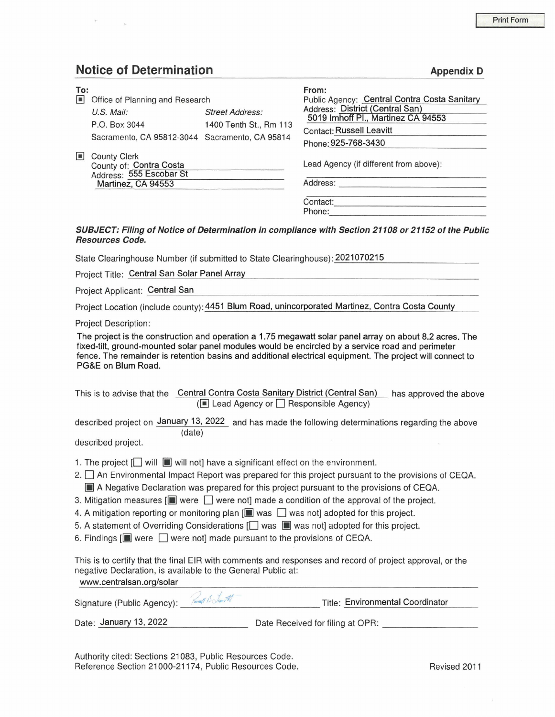## **Notice of Determination Appendix D Appendix D**

| To:            |                                                                                                                    |                                                  | From:                                                                                                                                                                           |  |  |  |
|----------------|--------------------------------------------------------------------------------------------------------------------|--------------------------------------------------|---------------------------------------------------------------------------------------------------------------------------------------------------------------------------------|--|--|--|
| $\blacksquare$ | Office of Planning and Research<br>$U.S.$ Mail:<br>P.O. Box 3044<br>Sacramento, CA 95812-3044 Sacramento, CA 95814 | <b>Street Address:</b><br>1400 Tenth St., Rm 113 | Public Agency: Central Contra Costa Sanitary<br>Address: District (Central San)<br>5019 Imhoff PI., Martinez CA 94553<br><b>Contact: Russell Leavitt</b><br>Phone: 925-768-3430 |  |  |  |
| $\blacksquare$ | <b>County Clerk</b><br>County of: Contra Costa<br>Address: 555 Escobar St<br>Martinez, CA 94553                    |                                                  | Lead Agency (if different from above):<br>Address:                                                                                                                              |  |  |  |
|                |                                                                                                                    |                                                  | Contact:<br>Phone:<br>SUBJECT: Filing of Notice of Determination in compliance with Section 21108 or 21152 of the Public                                                        |  |  |  |

## with Section 21108 or 21152 of the Public Resources Code.

State Clearinghouse Number (if submitted to State Clearinghouse): 2021070215

Project Title: Central San Solar Panel Array

Project Applicant: Central San

Project Location (include county): 4451 Blum Road, unincorporated Martinez, Contra Costa County

Project Description:

The project is the construction and operation a 1.75 megawatt solar panel array on about 8.2 acres. The fixed-tilt, ground-mounted solar panel modules would be encircled by a service road and perimeter fence. The remainder is retention basins and additional electrical equipment. The project will connect to PG&E on Blum Road.

This is to advise that the Central Contra Costa Sanitary District (Central San) has approved the above  $(\blacksquare$  Lead Agency or  $\square$  Responsible Agency)

described project on January 13, 2022 and has made the following determinations regarding the above (date)

described project.

1. The project  $\Box$  will  $\Box$  will not] have a significant effect on the environment.

- 2.  $\Box$  An Environmental Impact Report was prepared for this project pursuant to the provisions of CEQA. **[iii]** A Negative Declaration was prepared for this project pursuant to the provisions of CEQA.
- 3. Mitigation measures  $[\blacksquare]$  were  $\Box$  were not] made a condition of the approval of the project.
- 4. A mitigation reporting or monitoring plan  $[\blacksquare$  was  $\Box$  was not] adopted for this project.
- 5. A statement of Overriding Considerations  $[\Box]$  was  $[\Box]$  was not] adopted for this project.
- 6. Findings  $[\blacksquare]$  were  $\Box$  were not] made pursuant to the provisions of CEQA.

This is to certify that the final EIR with comments and responses and record of project approval, or the negative Declaration, is available to the General Public at:

www.centralsan.org/solar

| Rump B Junt<br>Signature (Public Agency): | Title: Environmental Coordinator |  |  |
|-------------------------------------------|----------------------------------|--|--|
| Date: January 13, 2022                    | Date Received for filing at OPR: |  |  |

Authority cited: Sections 21083, Public Resources Code. Reference Section 21000-21174, Public Resources Code. The Revised 2011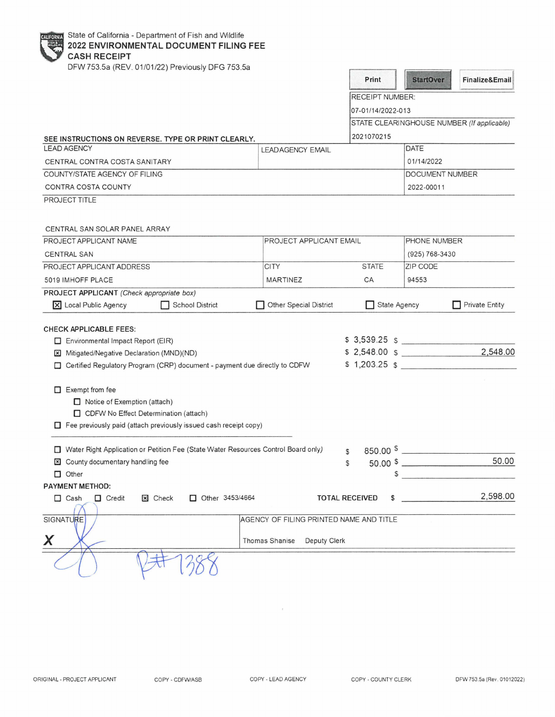| State of California - Department of Fish and Wildlife<br>CALIFORNIA<br>2022 ENVIRONMENTAL DOCUMENT FILING FEE<br><b>CASH RECEIPT</b>                                |                                                                        |                        |              |                                                                                                                                                                                                                                                                                                        |                                            |
|---------------------------------------------------------------------------------------------------------------------------------------------------------------------|------------------------------------------------------------------------|------------------------|--------------|--------------------------------------------------------------------------------------------------------------------------------------------------------------------------------------------------------------------------------------------------------------------------------------------------------|--------------------------------------------|
| DFW 753.5a (REV. 01/01/22) Previously DFG 753.5a                                                                                                                    |                                                                        | Print                  |              | <b>StartOver</b>                                                                                                                                                                                                                                                                                       | Finalize&Email                             |
|                                                                                                                                                                     |                                                                        | <b>RECEIPT NUMBER:</b> |              |                                                                                                                                                                                                                                                                                                        |                                            |
|                                                                                                                                                                     |                                                                        | 07-01/14/2022-013      |              |                                                                                                                                                                                                                                                                                                        |                                            |
|                                                                                                                                                                     |                                                                        |                        |              |                                                                                                                                                                                                                                                                                                        | STATE CLEARINGHOUSE NUMBER (If applicable) |
| SEE INSTRUCTIONS ON REVERSE. TYPE OR PRINT CLEARLY.                                                                                                                 |                                                                        | 2021070215             |              |                                                                                                                                                                                                                                                                                                        |                                            |
| <b>LEAD AGENCY</b>                                                                                                                                                  | <b>LEADAGENCY EMAIL</b>                                                |                        |              | DATE                                                                                                                                                                                                                                                                                                   |                                            |
| CENTRAL CONTRA COSTA SANITARY                                                                                                                                       |                                                                        |                        |              | 01/14/2022                                                                                                                                                                                                                                                                                             |                                            |
| COUNTY/STATE AGENCY OF FILING                                                                                                                                       |                                                                        |                        |              | DOCUMENT NUMBER                                                                                                                                                                                                                                                                                        |                                            |
| CONTRA COSTA COUNTY                                                                                                                                                 |                                                                        |                        |              | 2022-00011                                                                                                                                                                                                                                                                                             |                                            |
| PROJECT TITLE                                                                                                                                                       |                                                                        |                        |              |                                                                                                                                                                                                                                                                                                        |                                            |
| CENTRAL SAN SOLAR PANEL ARRAY                                                                                                                                       |                                                                        |                        |              |                                                                                                                                                                                                                                                                                                        |                                            |
| PROJECT APPLICANT NAME                                                                                                                                              | PROJECT APPLICANT EMAIL                                                |                        |              | PHONE NUMBER                                                                                                                                                                                                                                                                                           |                                            |
| <b>CENTRAL SAN</b><br>PROJECT APPLICANT ADDRESS                                                                                                                     | <b>CITY</b>                                                            | <b>STATE</b>           |              | (925) 768-3430<br>ZIP CODE                                                                                                                                                                                                                                                                             |                                            |
|                                                                                                                                                                     |                                                                        |                        |              |                                                                                                                                                                                                                                                                                                        |                                            |
| 5019 IMHOFF PLACE                                                                                                                                                   | <b>MARTINEZ</b>                                                        | CA                     |              | 94553                                                                                                                                                                                                                                                                                                  |                                            |
| PROJECT APPLICANT (Check appropriate box)<br>X Local Public Agency<br><b>School District</b><br>. .                                                                 | Other Special District                                                 |                        | State Agency |                                                                                                                                                                                                                                                                                                        | <b>Private Entity</b>                      |
| <b>CHECK APPLICABLE FEES:</b><br>Environmental Impact Report (EIR)                                                                                                  |                                                                        |                        |              | $$3,539.25$ $$$                                                                                                                                                                                                                                                                                        |                                            |
| Mitigated/Negative Declaration (MND)(ND)<br>$\times$                                                                                                                |                                                                        |                        |              | \$2,548.00\$                                                                                                                                                                                                                                                                                           | 2,548.00                                   |
| Certified Regulatory Program (CRP) document - payment due directly to CDFW<br>□                                                                                     |                                                                        |                        |              |                                                                                                                                                                                                                                                                                                        | $$1,203.25$ \$                             |
| $\Box$ Exempt from fee<br>Notice of Exemption (attach)<br>CDFW No Effect Determination (attach)<br>Fee previously paid (attach previously issued cash receipt copy) |                                                                        |                        |              |                                                                                                                                                                                                                                                                                                        |                                            |
| □ Water Right Application or Petition Fee (State Water Resources Control Board only)                                                                                |                                                                        | $\mathcal{F}$          |              | $850.00$ $\frac{1}{100}$ $\frac{1}{100}$ $\frac{1}{100}$ $\frac{1}{100}$ $\frac{1}{100}$ $\frac{1}{100}$ $\frac{1}{100}$ $\frac{1}{100}$ $\frac{1}{100}$ $\frac{1}{100}$ $\frac{1}{100}$ $\frac{1}{100}$ $\frac{1}{100}$ $\frac{1}{100}$ $\frac{1}{100}$ $\frac{1}{100}$ $\frac{1}{100}$ $\frac{1}{10$ |                                            |
| County documentary handling fee                                                                                                                                     |                                                                        | \$                     |              |                                                                                                                                                                                                                                                                                                        | 50.00                                      |
| $\Box$ Other                                                                                                                                                        |                                                                        |                        | \$           |                                                                                                                                                                                                                                                                                                        |                                            |
| PAYMENT METHOD:                                                                                                                                                     |                                                                        |                        |              |                                                                                                                                                                                                                                                                                                        |                                            |
| Other 3453/4664<br>$\Box$ Credit<br>X Check<br>$\Box$ Cash                                                                                                          |                                                                        | <b>TOTAL RECEIVED</b>  | \$           |                                                                                                                                                                                                                                                                                                        | 2,598.00                                   |
| SIGNATURE                                                                                                                                                           | AGENCY OF FILING PRINTED NAME AND TITLE<br>Thomas Shanise Deputy Clerk |                        |              |                                                                                                                                                                                                                                                                                                        |                                            |
|                                                                                                                                                                     |                                                                        |                        |              |                                                                                                                                                                                                                                                                                                        |                                            |

 $\epsilon$